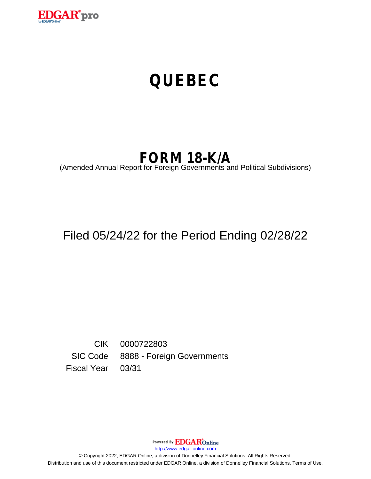

# **QUEBEC**

# **FORM 18-K/A**

(Amended Annual Report for Foreign Governments and Political Subdivisions)

# Filed 05/24/22 for the Period Ending 02/28/22

CIK 0000722803 SIC Code 8888 - Foreign Governments Fiscal Year 03/31

Powered By **EDGAR**Online

http://www.edgar-online.com

© Copyright 2022, EDGAR Online, a division of Donnelley Financial Solutions. All Rights Reserved. Distribution and use of this document restricted under EDGAR Online, a division of Donnelley Financial Solutions, Terms of Use.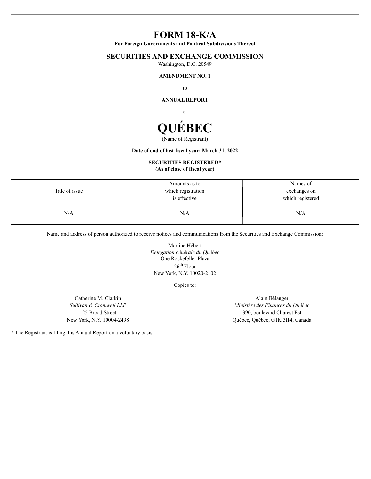# **FORM 18-K/A**

For Foreign Governments and Political Subdivisions Thereof

### **SECURITIES AND EXCHANGE COMMISSION**

Washington, D.C. 20549

#### **AMENDMENT NO. 1**

to

**ANNUAL REPORT** 

of



#### Date of end of last fiscal year: March 31, 2022

# **SECURITIES REGISTERED\***

(As of close of fiscal year)

| Title of issue | Amounts as to<br>which registration<br>is effective | Names of<br>exchanges on<br>which registered |
|----------------|-----------------------------------------------------|----------------------------------------------|
| N/A            | N/A                                                 | N/A                                          |

Name and address of person authorized to receive notices and communications from the Securities and Exchange Commission:

Martine Hébert Délégation générale du Québec One Rockefeller Plaza  $26<sup>th</sup>$  Floor New York, N.Y. 10020-2102

Copies to:

Catherine M. Clarkin Sullivan & Cromwell LLP 125 Broad Street New York, N.Y. 10004-2498

Alain Bélanger Ministère des Finances du Québec 390, boulevard Charest Est Québec, Québec, G1K 3H4, Canada

\* The Registrant is filing this Annual Report on a voluntary basis.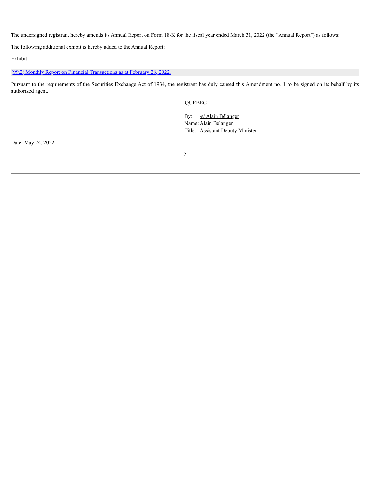The undersigned registrant hereby amends its Annual Report on Form 18-K for the fiscal year ended March 31, 2022 (the "Annual Report") as follows:

The following additional exhibit is hereby added to the Annual Report:

Exhibit:

[\(99.2\)](#page-3-0) Monthly Report on Financial [Transactions](#page-3-0) as at February 28, 2022.

Pursuant to the requirements of the Securities Exchange Act of 1934, the registrant has duly caused this Amendment no. 1 to be signed on its behalf by its authorized agent.

QUÉBEC

By: /s/ Alain Bélanger Name: Alain Bélanger Title: Assistant Deputy Minister

Date: May 24, 2022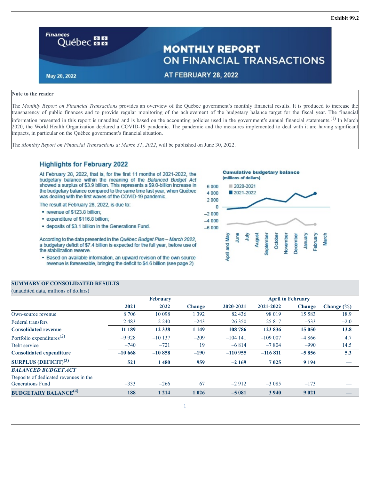<span id="page-3-0"></span>

#### **Note to the reader**

The *Monthly Report on Financial Transactions* provides an overview of the Québec government's monthly financial results. It is produced to increase the transparency of public finances and to provide regular monitoring of the achievement of the budgetary balance target for the fiscal year. The financial information presented in this report is unaudited and is based on the accounting policies used in the government's annual financial statements.<sup>(1)</sup> In March 2020, the World Health Organization declared a COVID-19 pandemic. The pandemic and the measures implemented to deal with it are having significant impacts, in particular on the Québec government's financial situation.

The *Monthly Report on Financial Transactions at March 31*, *2022*, will be published on June 30, 2022.

#### **Highlights for February 2022**

At February 28, 2022, that is, for the first 11 months of 2021-2022, the budgetary balance within the meaning of the Balanced Budget Act showed a surplus of \$3.9 billion. This represents a \$9.0-billion increase in the budgetary balance compared to the same time last year, when Québec was dealing with the first waves of the COVID-19 pandemic.

The result at February 28, 2022, is due to:

- " revenue of \$123.8 billion;
- expenditure of \$116.8 billion;
- deposits of \$3.1 billion in the Generations Fund.

According to the data presented in the Québec Budget Plan - March 2022, a budgetary deficit of \$7.4 billion is expected for the full year, before use of the stabilization reserve.

. Based on available information, an upward revision of the own source revenue is foreseeable, bringing the deficit to \$4.6 billion (see page 2)

#### **SUMMARY OF CONSOLIDATED RESULTS**

(unaudited data, millions of dollars)

**February April to February 2021 2022 Change 2020-2021 2021-2022 Change Change (%)** Own-source revenue 8 706 10 098 1 392 82 436 98 019 15 583 18.9 Federal transfers 2 483 2 240 –243 26 350 25 817 –533 –2.0 **Consolidated revenue 11 189 12 338 1 149 108 786 123 836 15 050 13.8** Portfolio expenditures<sup>(2)</sup> (2)  $-9\,928$   $-10\,137$   $-209$   $-104\,141$   $-109\,007$   $-4\,866$   $4.7$ Debt service –740 –721 19 –6 814 –7 804 –990 14.5 **Consolidated expenditure –10 668 –10 858 –190 –110 955 –116 811 –5 856 5.3 SURPLUS (DEFICIT) (3) 521 1 480 959 –2 169 7 025 9 194 —** *BALANCED BUDGET ACT* Deposits of dedicated revenues in the Generations Fund  $-33$   $-266$  67  $-2912$   $-3085$   $-173$   $-$ **BUDGETARY BALANCE (4) 188 1 214 1 026 –5 081 3 940 9 021 —**



**Exhibit 99.2**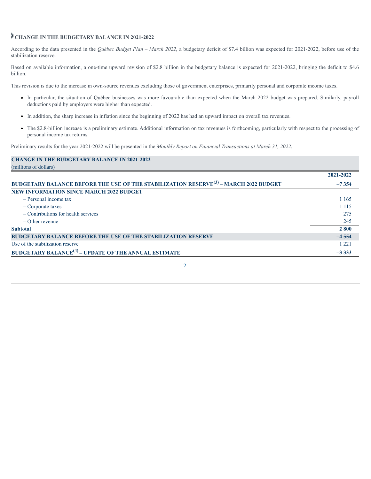## **CHANGE IN THE BUDGETARY BALANCE IN 2021-2022**

According to the data presented in the *Québec Budget Plan – March 2022*, a budgetary deficit of \$7.4 billion was expected for 2021-2022, before use of the stabilization reserve.

Based on available information, a one-time upward revision of \$2.8 billion in the budgetary balance is expected for 2021-2022, bringing the deficit to \$4.6 billion.

This revision is due to the increase in own-source revenues excluding those of government enterprises, primarily personal and corporate income taxes.

- In particular, the situation of Québec businesses was more favourable than expected when the March 2022 budget was prepared. Similarly, payroll deductions paid by employers were higher than expected.
- In addition, the sharp increase in inflation since the beginning of 2022 has had an upward impact on overall tax revenues.
- The \$2.8-billion increase is a preliminary estimate. Additional information on tax revenues is forthcoming, particularly with respect to the processing of personal income tax returns.

Preliminary results for the year 2021-2022 will be presented in the *Monthly Report on Financial Transactions at March 31, 2022*.

| <b>CHANGE IN THE BUDGETARY BALANCE IN 2021-2022</b>                                                    |           |
|--------------------------------------------------------------------------------------------------------|-----------|
| (millions of dollars)                                                                                  |           |
|                                                                                                        | 2021-2022 |
| <b>BUDGETARY BALANCE BEFORE THE USE OF THE STABILIZATION RESERVE<sup>(3)</sup> - MARCH 2022 BUDGET</b> | $-7354$   |
| <b>NEW INFORMATION SINCE MARCH 2022 BUDGET</b>                                                         |           |
| $-$ Personal income tax                                                                                | 1 1 6 5   |
| $-Corporate$ taxes                                                                                     | 1 1 1 5   |
| $-$ Contributions for health services                                                                  | 275       |
| $-$ Other revenue                                                                                      | 245       |
| <b>Subtotal</b>                                                                                        | 2 800     |
| <b>BUDGETARY BALANCE BEFORE THE USE OF THE STABILIZATION RESERVE</b>                                   | $-4554$   |
| Use of the stabilization reserve                                                                       | 1221      |
| <b>BUDGETARY BALANCE<sup>(4)</sup> – UPDATE OF THE ANNUAL ESTIMATE</b>                                 | $-3333$   |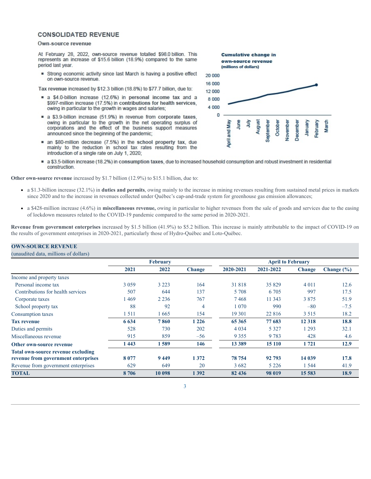#### **CONSOLIDATED REVENUE**

#### Own-source revenue

At February 28, 2022, own-source revenue totalled \$98.0 billion. This represents an increase of \$15.6 billion (18.9%) compared to the same period last year.

Strong economic activity since last March is having a positive effect on own-source revenue

Tax revenue increased by \$12.3 billion (18.8%) to \$77.7 billion, due to:

- a \$4.0-billion increase (12.6%) in personal income tax and a \$997-million increase (17.5%) in contributions for health services, owing in particular to the growth in wages and salaries;
- a \$3.9-billion increase (51.9%) in revenue from corporate taxes, owing in particular to the growth in the net operating surplus of corporations and the effect of the business support measures announced since the beginning of the pandemic;
- an \$80-million decrease (7.5%) in the school property tax, due mainly to the reduction in school tax rates resulting from the introduction of a single rate on July 1, 2020;
- a \$3.5-billion increase (18.2%) in consumption taxes, due to increased household consumption and robust investment in residential construction.

**Other own-source revenue** increased by \$1.7 billion (12.9%) to \$15.1 billion, due to:

- a \$1.3-billion increase (32.1%) in **duties and permits**, owing mainly to the increase in mining revenues resulting from sustained metal prices in markets since 2020 and to the increase in revenues collected under Québec's cap-and-trade system for greenhouse gas emission allowances;
- a \$428-million increase (4.6%) in **miscellaneous revenue,** owing in particular to higher revenues from the sale of goods and services due to the easing of lockdown measures related to the COVID-19 pandemic compared to the same period in 2020-2021.

**Revenue from government enterprises** increased by \$1.5 billion (41.9%) to \$5.2 billion. This increase is mainly attributable to the impact of COVID-19 on the results of government enterprises in 2020-2021, particularly those of Hydro-Québec and Loto-Québec.

#### **OWN-SOURCE REVENUE**

(unaudited data, millions of dollars)

|                                     |         | <b>February</b> |               | <b>April to February</b> |           |               |                |  |
|-------------------------------------|---------|-----------------|---------------|--------------------------|-----------|---------------|----------------|--|
|                                     |         |                 |               |                          |           |               |                |  |
|                                     | 2021    | 2022            | <b>Change</b> | 2020-2021                | 2021-2022 | <b>Change</b> | Change $(\% )$ |  |
| Income and property taxes           |         |                 |               |                          |           |               |                |  |
| Personal income tax                 | 3 0 5 9 | 3 2 2 3         | 164           | 31818                    | 35 829    | 4 0 1 1       | 12.6           |  |
| Contributions for health services   | 507     | 644             | 137           | 5 708                    | 6 7 0 5   | 997           | 17.5           |  |
| Corporate taxes                     | 469     | 2 2 3 6         | 767           | 7468                     | 11 3 43   | 3875          | 51.9           |  |
| School property tax                 | 88      | 92              | 4             | 070                      | 990       | $-80$         | $-7.5$         |  |
| Consumption taxes                   | 1511    | 1665            | 154           | 19 301                   | 22 8 16   | 3 5 1 5       | 18.2           |  |
| <b>Tax revenue</b>                  | 6 6 3 4 | 7860            | 1 2 2 6       | 65 365                   | 77 683    | 12 3 18       | 18.8           |  |
| Duties and permits                  | 528     | 730             | 202           | 4 0 3 4                  | 5 3 2 7   | 1293          | 32.1           |  |
| Miscellaneous revenue               | 915     | 859             | $-56$         | 9 3 5 5                  | 9783      | 428           | 4.6            |  |
| Other own-source revenue            | 1443    | 1589            | 146           | 13 389                   | 15 110    | 1 721         | 12.9           |  |
| Total own-source revenue excluding  |         |                 |               |                          |           |               |                |  |
| revenue from government enterprises | 8 0 7 7 | 9449            | 1372          | 78 754                   | 92 793    | 14 039        | 17.8           |  |
| Revenue from government enterprises | 629     | 649             | 20            | 3682                     | 5 2 2 6   | 1 544         | 41.9           |  |
| <b>TOTAL</b>                        | 8 7 0 6 | 10 098          | 1392          | 82 436                   | 98 019    | 15 583        | 18.9           |  |

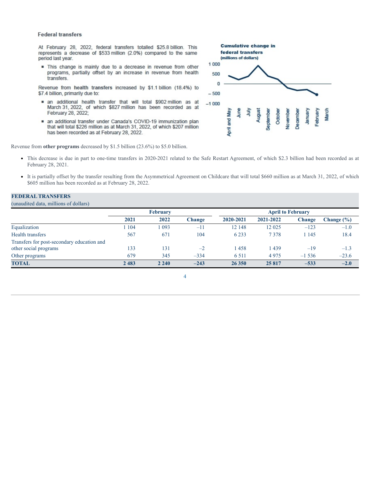#### **Federal transfers**

At February 28, 2022, federal transfers totalled \$25.8 billion. This represents a decrease of \$533 million (2.0%) compared to the same period last year.

. This change is mainly due to a decrease in revenue from other programs, partially offset by an increase in revenue from health transfers.

Revenue from health transfers increased by \$1.1 billion (18.4%) to \$7.4 billion, primarily due to:

- an additional health transfer that will total \$902 million as at March 31, 2022, of which \$827 million has been recorded as at February 28, 2022;
- an additional transfer under Canada's COVID-19 immunization plan that will total \$226 million as at March 31, 2022, of which \$207 million has been recorded as at February 28, 2022.

Revenue from **other programs** decreased by \$1.5 billion (23.6%) to \$5.0 billion.

- This decrease is due in part to one-time transfers in 2020-2021 related to the Safe Restart Agreement, of which \$2.3 billion had been recorded as at February 28, 2021.
- It is partially offset by the transfer resulting from the Asymmetrical Agreement on Childcare that will total \$660 million as at March 31, 2022, of which \$605 million has been recorded as at February 28, 2022.

#### **FEDERAL TRANSFERS**

(unaudited data, millions of dollars)

|                                            | <b>February</b> |         |        | <b>April to February</b> |           |          |            |
|--------------------------------------------|-----------------|---------|--------|--------------------------|-----------|----------|------------|
|                                            | 2021            | 2022    | Change | 2020-2021                | 2021-2022 | Change   | Change (%) |
| Equalization                               | 104             | 093     | $-11$  | 12 148                   | 12 025    | $-123$   | $-1.0$     |
| <b>Health transfers</b>                    | 567             | 671     | 104    | 6 2 3 3                  | 7378      | 1 1 4 5  | 18.4       |
| Transfers for post-secondary education and |                 |         |        |                          |           |          |            |
| other social programs                      | 133             | 131     | $-2$   | 1458                     | 1439      | $-19$    | $-1.3$     |
| Other programs                             | 679             | 345     | $-334$ | 6 5 1 1                  | 4975      | $-1,536$ | $-23.6$    |
| <b>TOTAL</b>                               | 2483            | 2 2 4 0 | $-243$ | 26 350                   | 25817     | $-533$   | $-2.0$     |



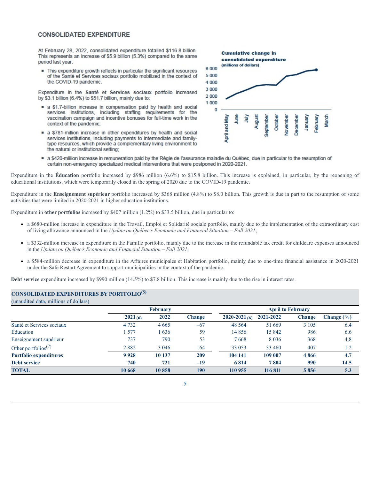#### **CONSOLIDATED EXPENDITURE**

At February 28, 2022, consolidated expenditure totalled \$116.8 billion. This represents an increase of \$5.9 billion (5.3%) compared to the same period last year.

This expenditure growth reflects in particular the significant resources of the Santé et Services sociaux portfolio mobilized in the context of the COVID-19 pandemic.

Expenditure in the Santé et Services sociaux portfolio increased by \$3.1 billion (6.4%) to \$51.7 billion, mainly due to:

- a \$1.7-billion increase in compensation paid by health and social services institutions, including staffing requirements for the vaccination campaign and incentive bonuses for full-time work in the context of the pandemic;
- a \$781-million increase in other expenditures by health and social services institutions, including payments to intermediate and familytype resources, which provide a complementary living environment to the natural or institutional setting;



a \$420-million increase in remuneration paid by the Régie de l'assurance maladie du Québec, due in particular to the resumption of certain non-emergency specialized medical interventions that were postponed in 2020-2021.

Expenditure in the **Éducation** portfolio increased by \$986 million (6.6%) to \$15.8 billion. This increase is explained, in particular, by the reopening of educational institutions, which were temporarily closed in the spring of 2020 due to the COVID-19 pandemic.

Expenditure in the **Enseignement supérieur** portfolio increased by \$368 million (4.8%) to \$8.0 billion. This growth is due in part to the resumption of some activities that were limited in 2020-2021 in higher education institutions.

Expenditure in **other portfolios** increased by \$407 million (1.2%) to \$33.5 billion, due in particular to:

- a \$680-million increase in expenditure in the Travail, Emploi et Solidarité sociale portfolio, mainly due to the implementation of the extraordinary cost of living allowance announced in the *Update on Québec's Economic and Financial Situation – Fall 2021*;
- a \$332-million increase in expenditure in the Famille portfolio, mainly due to the increase in the refundable tax credit for childcare expenses announced in the *Update on Québec's Economic and Financial Situation – Fall 2021*;
- a \$584-million decrease in expenditure in the Affaires municipales et Habitation portfolio, mainly due to one-time financial assistance in 2020-2021 under the Safe Restart Agreement to support municipalities in the context of the pandemic.

**Debt service** expenditure increased by \$990 million (14.5%) to \$7.8 billion. This increase is mainly due to the rise in interest rates.

### **CONSOLIDATED EXPENDITURES BY PORTFOLIO (5)**

(unaudited data, millions of dollars)

|                                              | <b>February</b> |         |               | <b>April to February</b> |           |         |                |  |
|----------------------------------------------|-----------------|---------|---------------|--------------------------|-----------|---------|----------------|--|
|                                              | 2021(6)         | 2022    | <b>Change</b> | $2020 - 2021$ (6)        | 2021-2022 | Change  | Change $(\% )$ |  |
| Santé et Services sociaux                    | 4 7 3 2         | 4 6 6 5 | $-67$         | 48 5 64                  | 51 669    | 3 1 0 5 | 6.4            |  |
| Education                                    | 577             | 636     | 59            | 14856                    | 15 842    | 986     | 6.6            |  |
| Enseignement supérieur                       | 737             | 790     | 53            | 7668                     | 8 0 3 6   | 368     | 4.8            |  |
| Other portfolios <sup><math>(7)</math></sup> | 2882            | 3 0 4 6 | 164           | 33 053                   | 33 460    | 407     |                |  |
| <b>Portfolio expenditures</b>                | 9928            | 10 137  | 209           | 104 141                  | 109 007   | 4866    | 4.7            |  |
| <b>Debt service</b>                          | 740             | 721     | $-19$         | 6814                     | 7804      | 990     | 14.5           |  |
| <b>TOTAL</b>                                 | 10 668          | 10858   | 190           | 110 955                  | 116811    | 5856    | 5.3            |  |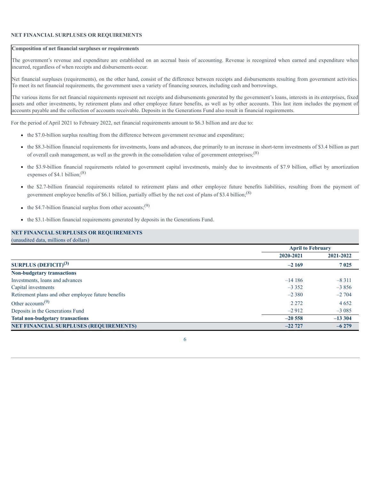#### **NET FINANCIAL SURPLUSES OR REQUIREMENTS**

#### **Composition of net financial surpluses or requirements**

The government's revenue and expenditure are established on an accrual basis of accounting. Revenue is recognized when earned and expenditure when incurred, regardless of when receipts and disbursements occur.

Net financial surpluses (requirements), on the other hand, consist of the difference between receipts and disbursements resulting from government activities. To meet its net financial requirements, the government uses a variety of financing sources, including cash and borrowings.

The various items for net financial requirements represent net receipts and disbursements generated by the government's loans, interests in its enterprises, fixed assets and other investments, by retirement plans and other employee future benefits, as well as by other accounts. This last item includes the payment of accounts payable and the collection of accounts receivable. Deposits in the Generations Fund also result in financial requirements.

For the period of April 2021 to February 2022, net financial requirements amount to \$6.3 billion and are due to:

- the \$7.0-billion surplus resulting from the difference between government revenue and expenditure;
- the \$8.3-billion financial requirements for investments, loans and advances, due primarily to an increase in short-term investments of \$3.4 billion as part of overall cash management, as well as the growth in the consolidation value of government enterprises;  $(8)$
- the \$3.9-billion financial requirements related to government capital investments, mainly due to investments of \$7.9 billion, offset by amortization expenses of \$4.1 billion; $(8)$
- the \$2.7-billion financial requirements related to retirement plans and other employee future benefits liabilities, resulting from the payment of government employee benefits of \$6.1 billion, partially offset by the net cost of plans of \$3.4 billion;<sup>(8)</sup>
- the \$4.7-billion financial surplus from other accounts;<sup>(9)</sup>
- the \$3.1-billion financial requirements generated by deposits in the Generations Fund.

#### **NET FINANCIAL SURPLUSES OR REQUIREMENTS** (unaudited data, millions of dollars)

|                                                     | <b>April to February</b> |           |
|-----------------------------------------------------|--------------------------|-----------|
|                                                     | 2020-2021                | 2021-2022 |
| SURPLUS $(DEFICIT)^{(3)}$                           | $-2169$                  | 7 0 2 5   |
| <b>Non-budgetary transactions</b>                   |                          |           |
| Investments, loans and advances                     | $-14186$                 | $-8311$   |
| Capital investments                                 | $-3.352$                 | $-3856$   |
| Retirement plans and other employee future benefits | $-2380$                  | $-2704$   |
| Other accounts <sup><math>(9)</math></sup>          | 2 2 7 2                  | 4 6 5 2   |
| Deposits in the Generations Fund                    | $-2912$                  | $-3085$   |
| <b>Total non-budgetary transactions</b>             | $-20,558$                | $-13304$  |
| <b>NET FINANCIAL SURPLUSES (REQUIREMENTS)</b>       | $-22727$                 | $-6279$   |

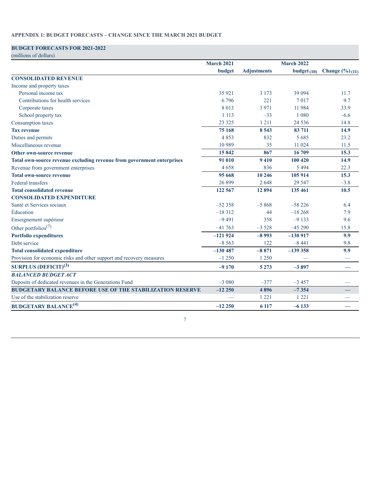#### **APPENDIX 1: BUDGET FORECASTS – CHANGE SINCE THE MARCH 2021 BUDGET**

### **BUDGET FORECASTS FOR 2021-2022**

| (millions of dollars)                                                  |                   |                    |                   |                                   |
|------------------------------------------------------------------------|-------------------|--------------------|-------------------|-----------------------------------|
|                                                                        | <b>March 2021</b> |                    | <b>March 2022</b> |                                   |
|                                                                        | budget            | <b>Adjustments</b> | budget $(10)$     | <b>Change</b> $(\frac{6}{6})(11)$ |
| <b>CONSOLIDATED REVENUE</b>                                            |                   |                    |                   |                                   |
| Income and property taxes                                              |                   |                    |                   |                                   |
| Personal income tax                                                    | 35 9 21           | 3 1 7 3            | 39 094            | 11.7                              |
| Contributions for health services                                      | 6796              | 221                | 7017              | 9.7                               |
| Corporate taxes                                                        | 8 0 1 3           | 3 9 7 1            | 11 984            | 33.9                              |
| School property tax                                                    | 1 1 1 3           | $-33$              | 1 0 8 0           | $-6.6$                            |
| Consumption taxes                                                      | 23 3 25           | 1 2 1 1            | 24 5 36           | 14.8                              |
| <b>Tax revenue</b>                                                     | 75 168            | 8 5 4 3            | 83 711            | 14.9                              |
| Duties and permits                                                     | 4853              | 832                | 5 6 8 5           | 23.2                              |
| Miscellaneous revenue                                                  | 10 9 89           | 35                 | 11 024            | 11.5                              |
| <b>Other own-source revenue</b>                                        | 15842             | 867                | 16 709            | 15.3                              |
| Total own-source revenue excluding revenue from government enterprises | 91 010            | 9410               | 100 420           | 14.9                              |
| Revenue from government enterprises                                    | 4658              | 836                | 5 4 9 4           | 22.3                              |
| <b>Total own-source revenue</b>                                        | 95 668            | 10 24 6            | 105 914           | 15.3                              |
| Federal transfers                                                      | 26 899            | 2648               | 29 5 47           | $-3.8$                            |
| <b>Total consolidated revenue</b>                                      | 122 567           | 12 8 9 4           | 135 461           | 10.5                              |
| <b>CONSOLIDATED EXPENDITURE</b>                                        |                   |                    |                   |                                   |
| Santé et Services sociaux                                              | $-52358$          | $-5868$            | $-58226$          | 6.4                               |
| Éducation                                                              | $-18312$          | 44                 | $-18268$          | 7.9                               |
| Enseignement supérieur                                                 | $-9491$           | 358                | $-9133$           | 9.6                               |
| Other portfolios <sup>(7)</sup>                                        | $-41763$          | $-3528$            | $-45290$          | 15.8                              |
| <b>Portfolio expenditures</b>                                          | $-121924$         | $-8993$            | $-130917$         | 9.9                               |
| Debt service                                                           | $-8563$           | 122                | $-8441$           | 9.8                               |
| <b>Total consolidated expenditure</b>                                  | $-130487$         | $-8871$            | $-139358$         | 9.9                               |
| Provision for economic risks and other support and recovery measures   | $-1250$           | 1 2 5 0            |                   |                                   |
| <b>SURPLUS (DEFICIT)<sup>(3)</sup></b>                                 | $-9170$           | 5 2 7 3            | $-3897$           | $\overbrace{\phantom{aaaaa}}$     |
| <b>BALANCED BUDGET ACT</b>                                             |                   |                    |                   |                                   |
| Deposits of dedicated revenues in the Generations Fund                 | $-3080$           | $-377$             | $-3457$           |                                   |
| <b>BUDGETARY BALANCE BEFORE USE OF THE STABILIZATION RESERVE</b>       | $-12250$          | 4896               | $-7354$           |                                   |
| Use of the stabilization reserve                                       |                   | 1 2 2 1            | 1 2 2 1           |                                   |
| <b>BUDGETARY BALANCE<sup>(4)</sup></b>                                 | $-12250$          | 6 1 1 7            | $-6133$           |                                   |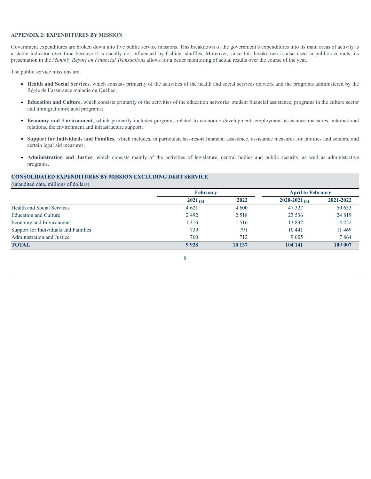#### **APPENDIX 2: EXPENDITURES BY MISSION**

Government expenditures are broken down into five public service missions. This breakdown of the government's expenditures into its main areas of activity is a stable indicator over time because it is usually not influenced by Cabinet shuffles. Moreover, since this breakdown is also used in public accounts, its presentation in the *Monthly Report on Financial Transactions* allows for a better monitoring of actual results over the course of the year.

The public service missions are:

- **Health and Social Services**, which consists primarily of the activities of the health and social services network and the programs administered by the Régie de l'assurance maladie du Québec;
- **Education and Culture**, which consists primarily of the activities of the education networks, student financial assistance, programs in the culture sector and immigration-related programs;
- **Economy and Environment**, which primarily includes programs related to economic development, employment assistance measures, international relations, the environment and infrastructure support;
- **Support for Individuals and Families**, which includes, in particular, last-resort financial assistance, assistance measures for families and seniors, and certain legal aid measures;
- **Administration and Justice**, which consists mainly of the activities of legislature, central bodies and public security, as well as administrative programs.

#### **CONSOLIDATED EXPENDITURES BY MISSION EXCLUDING DEBT SERVICE**

(unaudited data, millions of dollars)

|                                      | <b>February</b> |         |                 | <b>April to February</b> |
|--------------------------------------|-----------------|---------|-----------------|--------------------------|
|                                      | $2021_{(6)}$    | 2022    | 2020-2021 $(6)$ | 2021-2022                |
| <b>Health and Social Services</b>    | 4 6 2 1         | 4 6 0 0 | 47 3 27         | 50 633                   |
| Education and Culture                | 2 4 9 2         | 2 5 1 8 | 23 5 36         | 24 8 19                  |
| Economy and Environment              | 1 3 1 6         | l 516   | 13 8 32         | 14 222                   |
| Support for Individuals and Families | 739             | 791     | 10 441          | 11 4 69                  |
| Administration and Justice           | 760             | 712     | 9 0 0 5         | 7864                     |
| <b>TOTAL</b>                         | 9928            | 10 137  | 104 141         | 109 007                  |